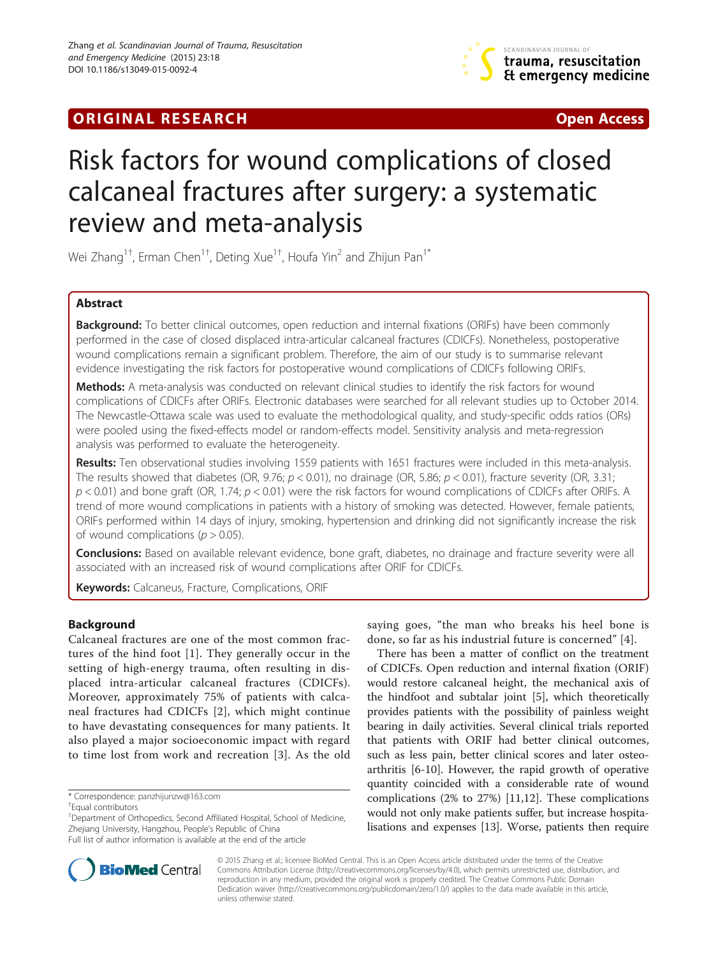# **ORIGINAL RESEARCH CONFIDENTIAL CONSUMING A LIGHT CONFIDENTIAL CONSUMING A LIGHT CONFIDENTIAL CONFIDENTIAL CONSU**



# Risk factors for wound complications of closed calcaneal fractures after surgery: a systematic review and meta-analysis

Wei Zhang $^{\rm 1\dagger}$ , Erman Chen $^{\rm 1\dagger}$ , Deting Xue $^{\rm 1\dagger}$ , Houfa Yin $^{\rm 2}$  and Zhijun Pan $^{\rm 1*}$ 

# Abstract

Background: To better clinical outcomes, open reduction and internal fixations (ORIFs) have been commonly performed in the case of closed displaced intra-articular calcaneal fractures (CDICFs). Nonetheless, postoperative wound complications remain a significant problem. Therefore, the aim of our study is to summarise relevant evidence investigating the risk factors for postoperative wound complications of CDICFs following ORIFs.

Methods: A meta-analysis was conducted on relevant clinical studies to identify the risk factors for wound complications of CDICFs after ORIFs. Electronic databases were searched for all relevant studies up to October 2014. The Newcastle-Ottawa scale was used to evaluate the methodological quality, and study-specific odds ratios (ORs) were pooled using the fixed-effects model or random-effects model. Sensitivity analysis and meta-regression analysis was performed to evaluate the heterogeneity.

Results: Ten observational studies involving 1559 patients with 1651 fractures were included in this meta-analysis. The results showed that diabetes (OR, 9.76;  $p < 0.01$ ), no drainage (OR, 5.86;  $p < 0.01$ ), fracture severity (OR, 3.31;  $p$  < 0.01) and bone graft (OR, 1.74;  $p$  < 0.01) were the risk factors for wound complications of CDICFs after ORIFs. A trend of more wound complications in patients with a history of smoking was detected. However, female patients, ORIFs performed within 14 days of injury, smoking, hypertension and drinking did not significantly increase the risk of wound complications ( $p > 0.05$ ).

Conclusions: Based on available relevant evidence, bone graft, diabetes, no drainage and fracture severity were all associated with an increased risk of wound complications after ORIF for CDICFs.

Keywords: Calcaneus, Fracture, Complications, ORIF

# Background

Calcaneal fractures are one of the most common fractures of the hind foot [[1](#page-9-0)]. They generally occur in the setting of high-energy trauma, often resulting in displaced intra-articular calcaneal fractures (CDICFs). Moreover, approximately 75% of patients with calcaneal fractures had CDICFs [\[2](#page-9-0)], which might continue to have devastating consequences for many patients. It also played a major socioeconomic impact with regard to time lost from work and recreation [\[3\]](#page-9-0). As the old

<sup>1</sup>Department of Orthopedics, Second Affiliated Hospital, School of Medicine, Zhejiang University, Hangzhou, People's Republic of China Full list of author information is available at the end of the article

saying goes, "the man who breaks his heel bone is done, so far as his industrial future is concerned" [[4\]](#page-9-0).

There has been a matter of conflict on the treatment of CDICFs. Open reduction and internal fixation (ORIF) would restore calcaneal height, the mechanical axis of the hindfoot and subtalar joint [[5\]](#page-9-0), which theoretically provides patients with the possibility of painless weight bearing in daily activities. Several clinical trials reported that patients with ORIF had better clinical outcomes, such as less pain, better clinical scores and later osteoarthritis [\[6](#page-9-0)-[10\]](#page-9-0). However, the rapid growth of operative quantity coincided with a considerable rate of wound complications (2% to 27%) [[11,12](#page-9-0)]. These complications would not only make patients suffer, but increase hospitalisations and expenses [\[13\]](#page-9-0). Worse, patients then require



© 2015 Zhang et al.; licensee BioMed Central. This is an Open Access article distributed under the terms of the Creative Commons Attribution License [\(http://creativecommons.org/licenses/by/4.0\)](http://creativecommons.org/licenses/by/4.0), which permits unrestricted use, distribution, and reproduction in any medium, provided the original work is properly credited. The Creative Commons Public Domain Dedication waiver [\(http://creativecommons.org/publicdomain/zero/1.0/](http://creativecommons.org/publicdomain/zero/1.0/)) applies to the data made available in this article, unless otherwise stated.

<sup>\*</sup> Correspondence: [panzhijunzw@163.com](mailto:panzhijunzw@163.com) †

Equal contributors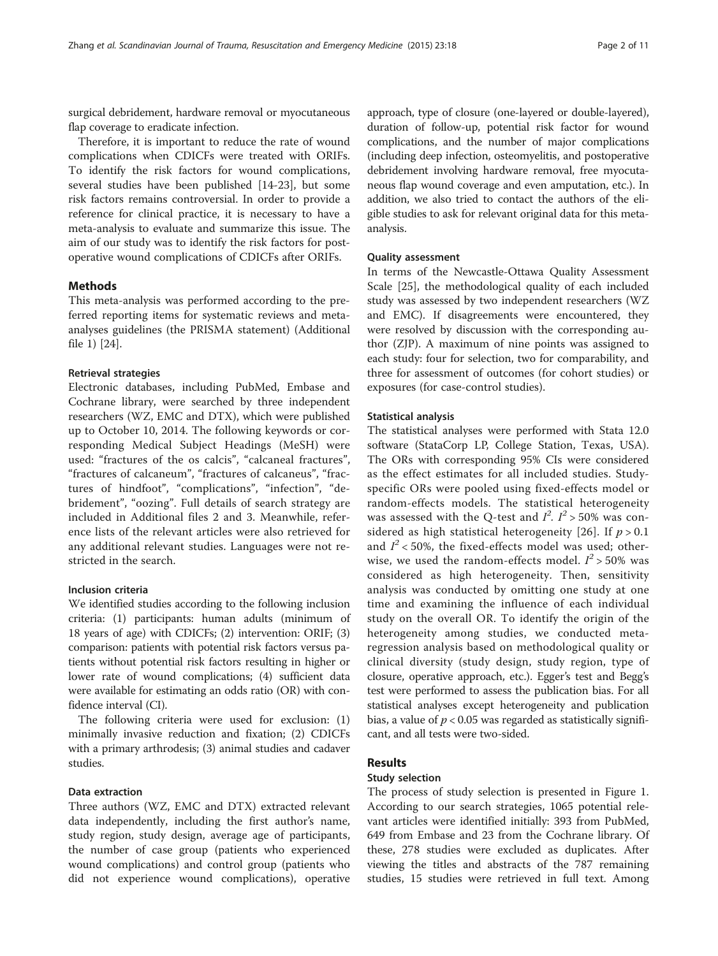surgical debridement, hardware removal or myocutaneous flap coverage to eradicate infection.

Therefore, it is important to reduce the rate of wound complications when CDICFs were treated with ORIFs. To identify the risk factors for wound complications, several studies have been published [\[14](#page-9-0)-[23](#page-9-0)], but some risk factors remains controversial. In order to provide a reference for clinical practice, it is necessary to have a meta-analysis to evaluate and summarize this issue. The aim of our study was to identify the risk factors for postoperative wound complications of CDICFs after ORIFs.

#### **Methods**

This meta-analysis was performed according to the preferred reporting items for systematic reviews and metaanalyses guidelines (the PRISMA statement) (Additional file [1\)](#page-8-0) [\[24](#page-9-0)].

## Retrieval strategies

Electronic databases, including PubMed, Embase and Cochrane library, were searched by three independent researchers (WZ, EMC and DTX), which were published up to October 10, 2014. The following keywords or corresponding Medical Subject Headings (MeSH) were used: "fractures of the os calcis", "calcaneal fractures", "fractures of calcaneum", "fractures of calcaneus", "fractures of hindfoot", "complications", "infection", "debridement", "oozing". Full details of search strategy are included in Additional files [2](#page-8-0) and [3.](#page-8-0) Meanwhile, reference lists of the relevant articles were also retrieved for any additional relevant studies. Languages were not restricted in the search.

# Inclusion criteria

We identified studies according to the following inclusion criteria: (1) participants: human adults (minimum of 18 years of age) with CDICFs; (2) intervention: ORIF; (3) comparison: patients with potential risk factors versus patients without potential risk factors resulting in higher or lower rate of wound complications; (4) sufficient data were available for estimating an odds ratio (OR) with confidence interval (CI).

The following criteria were used for exclusion: (1) minimally invasive reduction and fixation; (2) CDICFs with a primary arthrodesis; (3) animal studies and cadaver studies.

#### Data extraction

Three authors (WZ, EMC and DTX) extracted relevant data independently, including the first author's name, study region, study design, average age of participants, the number of case group (patients who experienced wound complications) and control group (patients who did not experience wound complications), operative approach, type of closure (one-layered or double-layered), duration of follow-up, potential risk factor for wound complications, and the number of major complications (including deep infection, osteomyelitis, and postoperative debridement involving hardware removal, free myocutaneous flap wound coverage and even amputation, etc.). In addition, we also tried to contact the authors of the eligible studies to ask for relevant original data for this metaanalysis.

#### Quality assessment

In terms of the Newcastle-Ottawa Quality Assessment Scale [[25\]](#page-9-0), the methodological quality of each included study was assessed by two independent researchers (WZ and EMC). If disagreements were encountered, they were resolved by discussion with the corresponding author (ZJP). A maximum of nine points was assigned to each study: four for selection, two for comparability, and three for assessment of outcomes (for cohort studies) or exposures (for case-control studies).

#### Statistical analysis

The statistical analyses were performed with Stata 12.0 software (StataCorp LP, College Station, Texas, USA). The ORs with corresponding 95% CIs were considered as the effect estimates for all included studies. Studyspecific ORs were pooled using fixed-effects model or random-effects models. The statistical heterogeneity was assessed with the Q-test and  $I^2$ .  $I^2 > 50\%$  was con-sidered as high statistical heterogeneity [[26](#page-9-0)]. If  $p > 0.1$ and  $I^2$  < 50%, the fixed-effects model was used; otherwise, we used the random-effects model.  $I^2 > 50\%$  was considered as high heterogeneity. Then, sensitivity analysis was conducted by omitting one study at one time and examining the influence of each individual study on the overall OR. To identify the origin of the heterogeneity among studies, we conducted metaregression analysis based on methodological quality or clinical diversity (study design, study region, type of closure, operative approach, etc.). Egger's test and Begg's test were performed to assess the publication bias. For all statistical analyses except heterogeneity and publication bias, a value of  $p < 0.05$  was regarded as statistically significant, and all tests were two-sided.

#### Results

# Study selection

The process of study selection is presented in Figure [1](#page-2-0). According to our search strategies, 1065 potential relevant articles were identified initially: 393 from PubMed, 649 from Embase and 23 from the Cochrane library. Of these, 278 studies were excluded as duplicates. After viewing the titles and abstracts of the 787 remaining studies, 15 studies were retrieved in full text. Among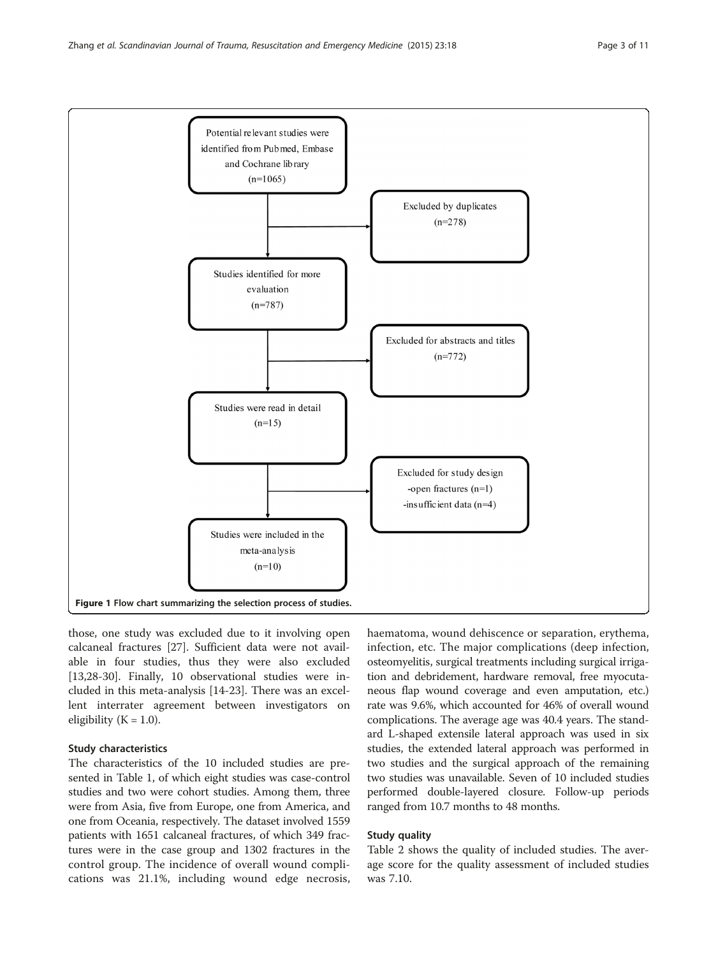<span id="page-2-0"></span>

those, one study was excluded due to it involving open calcaneal fractures [[27](#page-9-0)]. Sufficient data were not available in four studies, thus they were also excluded [[13,28-30\]](#page-9-0). Finally, 10 observational studies were included in this meta-analysis [[14-23](#page-9-0)]. There was an excellent interrater agreement between investigators on eligibility ( $K = 1.0$ ).

# Study characteristics

The characteristics of the 10 included studies are presented in Table [1](#page-3-0), of which eight studies was case-control studies and two were cohort studies. Among them, three were from Asia, five from Europe, one from America, and one from Oceania, respectively. The dataset involved 1559 patients with 1651 calcaneal fractures, of which 349 fractures were in the case group and 1302 fractures in the control group. The incidence of overall wound complications was 21.1%, including wound edge necrosis,

haematoma, wound dehiscence or separation, erythema, infection, etc. The major complications (deep infection, osteomyelitis, surgical treatments including surgical irrigation and debridement, hardware removal, free myocutaneous flap wound coverage and even amputation, etc.) rate was 9.6%, which accounted for 46% of overall wound complications. The average age was 40.4 years. The standard L-shaped extensile lateral approach was used in six studies, the extended lateral approach was performed in two studies and the surgical approach of the remaining two studies was unavailable. Seven of 10 included studies performed double-layered closure. Follow-up periods ranged from 10.7 months to 48 months.

# Study quality

Table [2](#page-4-0) shows the quality of included studies. The average score for the quality assessment of included studies was 7.10.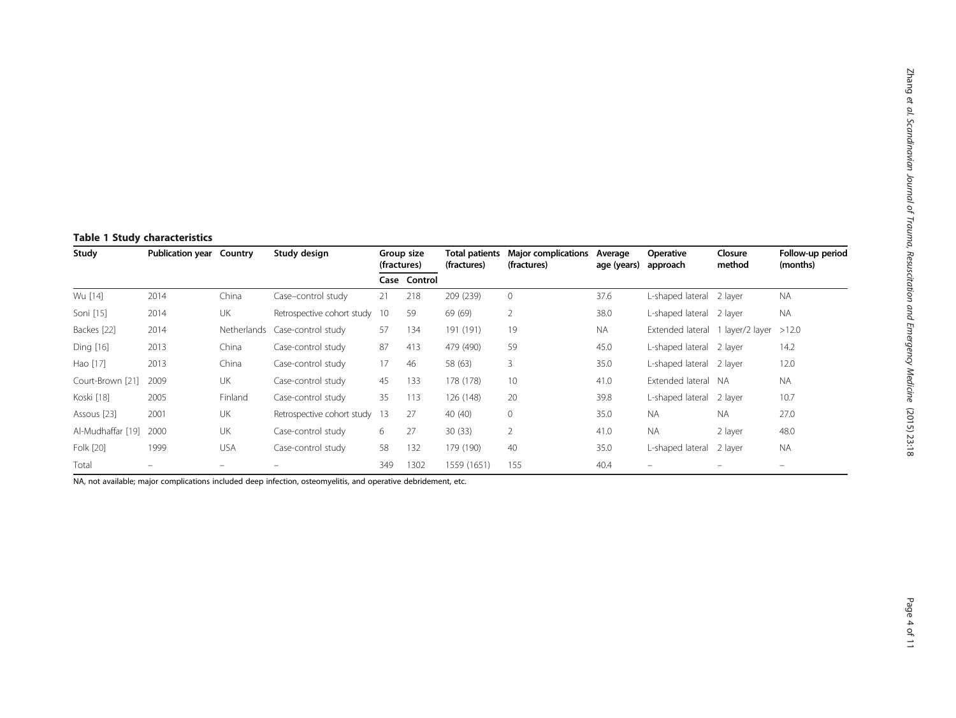# <span id="page-3-0"></span>Table 1 Study characteristics

| Study             | <b>Publication year Country</b> |             | Study design               |     | Group size<br>(fractures) | Total patients<br>(fractures) | <b>Major complications</b><br>(fractures) | Average<br>age (years) | <b>Operative</b><br>approach     | Closure<br>method | Follow-up period<br>(months) |
|-------------------|---------------------------------|-------------|----------------------------|-----|---------------------------|-------------------------------|-------------------------------------------|------------------------|----------------------------------|-------------------|------------------------------|
|                   |                                 |             |                            |     | Case Control              |                               |                                           |                        |                                  |                   |                              |
| Wu [14]           | 2014                            | China       | Case-control study         | 21  | 218                       | 209 (239)                     | $\overline{0}$                            | 37.6                   | L-shaped lateral 2 layer         |                   | <b>NA</b>                    |
| Soni [15]         | 2014                            | UK          | Retrospective cohort study | -10 | 59                        | 69 (69)                       | $\overline{2}$                            | 38.0                   | L-shaped lateral                 | 2 layer           | <b>NA</b>                    |
| Backes [22]       | 2014                            | Netherlands | Case-control study         | 57  | 134                       | 191 (191)                     | 19                                        | NA.                    | Extended lateral 1 layer/2 layer |                   | >12.0                        |
| Ding [16]         | 2013                            | China       | Case-control study         | 87  | 413                       | 479 (490)                     | 59                                        | 45.0                   | L-shaped lateral 2 layer         |                   | 14.2                         |
| Hao [17]          | 2013                            | China       | Case-control study         | 17  | 46                        | 58 (63)                       | 3                                         | 35.0                   | L-shaped lateral 2 layer         |                   | 12.0                         |
| Court-Brown [21]  | 2009                            | <b>UK</b>   | Case-control study         | 45  | 133                       | 178 (178)                     | 10                                        | 41.0                   | Extended lateral NA              |                   | <b>NA</b>                    |
| Koski [18]        | 2005                            | Finland     | Case-control study         | 35  | 113                       | 126 (148)                     | 20                                        | 39.8                   | L-shaped lateral                 | 2 layer           | 10.7                         |
| Assous [23]       | 2001                            | UK          | Retrospective cohort study | -13 | 27                        | 40 (40)                       | $\mathbf 0$                               | 35.0                   | <b>NA</b>                        | <b>NA</b>         | 27.0                         |
| Al-Mudhaffar [19] | 2000                            | UK          | Case-control study         | 6   | 27                        | 30(33)                        | $\overline{2}$                            | 41.0                   | <b>NA</b>                        | 2 layer           | 48.0                         |
| Folk [20]         | 1999                            | <b>USA</b>  | Case-control study         | 58  | 132                       | 179 (190)                     | 40                                        | 35.0                   | L-shaped lateral                 | 2 layer           | <b>NA</b>                    |
| Total             | $\overline{\phantom{a}}$        |             |                            | 349 | 1302                      | 1559 (1651)                   | 155                                       | 40.4                   |                                  | -                 | $\equiv$                     |

NA, not available; major complications included deep infection, osteomyelitis, and operative debridement, etc.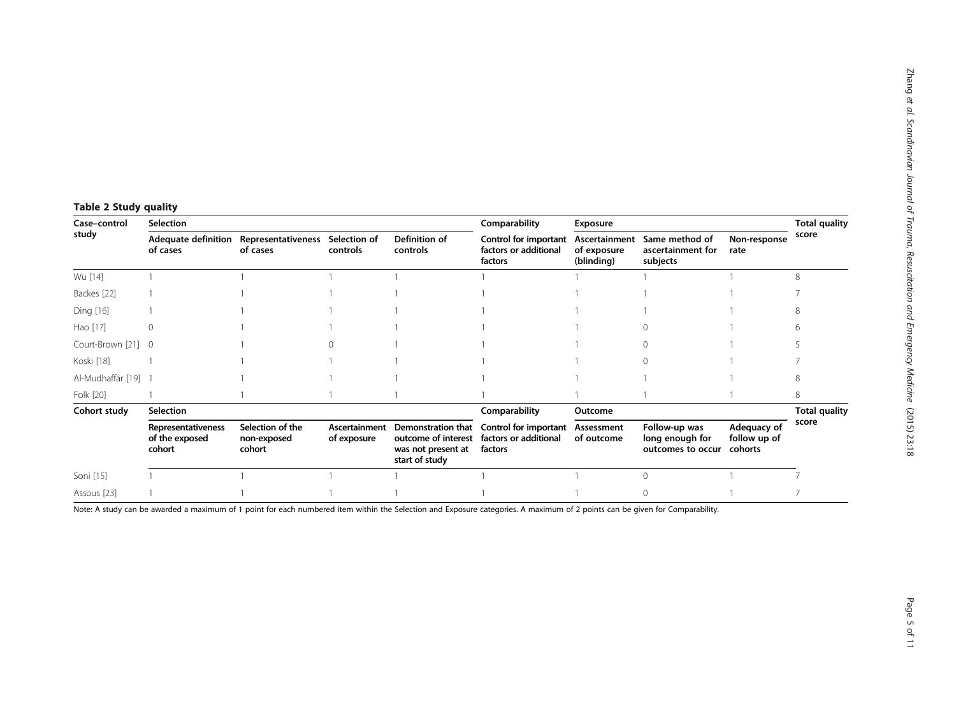<span id="page-4-0"></span>

| Case-control<br>study | Selection                                      |                                                    |                              |                                                                                   | Comparability                                             | Exposure                                   |                                                       |                                        |                      |
|-----------------------|------------------------------------------------|----------------------------------------------------|------------------------------|-----------------------------------------------------------------------------------|-----------------------------------------------------------|--------------------------------------------|-------------------------------------------------------|----------------------------------------|----------------------|
|                       | of cases                                       | Adequate definition Representativeness<br>of cases | Selection of<br>controls     | Definition of<br>controls                                                         | Control for important<br>factors or additional<br>factors | Ascertainment<br>of exposure<br>(blinding) | Same method of<br>ascertainment for<br>subjects       | Non-response<br>rate                   | score                |
| Wu [14]               |                                                |                                                    |                              |                                                                                   |                                                           |                                            |                                                       |                                        | 8                    |
| Backes [22]           |                                                |                                                    |                              |                                                                                   |                                                           |                                            |                                                       |                                        |                      |
| Ding [16]             |                                                |                                                    |                              |                                                                                   |                                                           |                                            |                                                       |                                        |                      |
| Hao [17]              | $\Omega$                                       |                                                    |                              |                                                                                   |                                                           |                                            |                                                       |                                        | h                    |
| Court-Brown [21]      | - 0                                            |                                                    |                              |                                                                                   |                                                           |                                            |                                                       |                                        |                      |
| Koski [18]            |                                                |                                                    |                              |                                                                                   |                                                           |                                            |                                                       |                                        |                      |
| Al-Mudhaffar [19] 1   |                                                |                                                    |                              |                                                                                   |                                                           |                                            |                                                       |                                        |                      |
| Folk [20]             |                                                |                                                    |                              |                                                                                   |                                                           |                                            |                                                       |                                        | 8                    |
| Cohort study          | Selection                                      |                                                    |                              |                                                                                   | Comparability                                             | Outcome                                    |                                                       |                                        | <b>Total quality</b> |
|                       | Representativeness<br>of the exposed<br>cohort | Selection of the<br>non-exposed<br>cohort          | Ascertainment<br>of exposure | Demonstration that<br>outcome of interest<br>was not present at<br>start of study | Control for important<br>factors or additional<br>factors | Assessment<br>of outcome                   | Follow-up was<br>long enough for<br>outcomes to occur | Adequacy of<br>follow up of<br>cohorts | score                |
| Soni [15]             |                                                |                                                    |                              |                                                                                   |                                                           |                                            | U                                                     |                                        |                      |
| Assous [23]           |                                                |                                                    |                              |                                                                                   |                                                           |                                            |                                                       |                                        |                      |

Note: A study can be awarded a maximum of 1 point for each numbered item within the Selection and Exposure categories. A maximum of 2 points can be given for Comparability.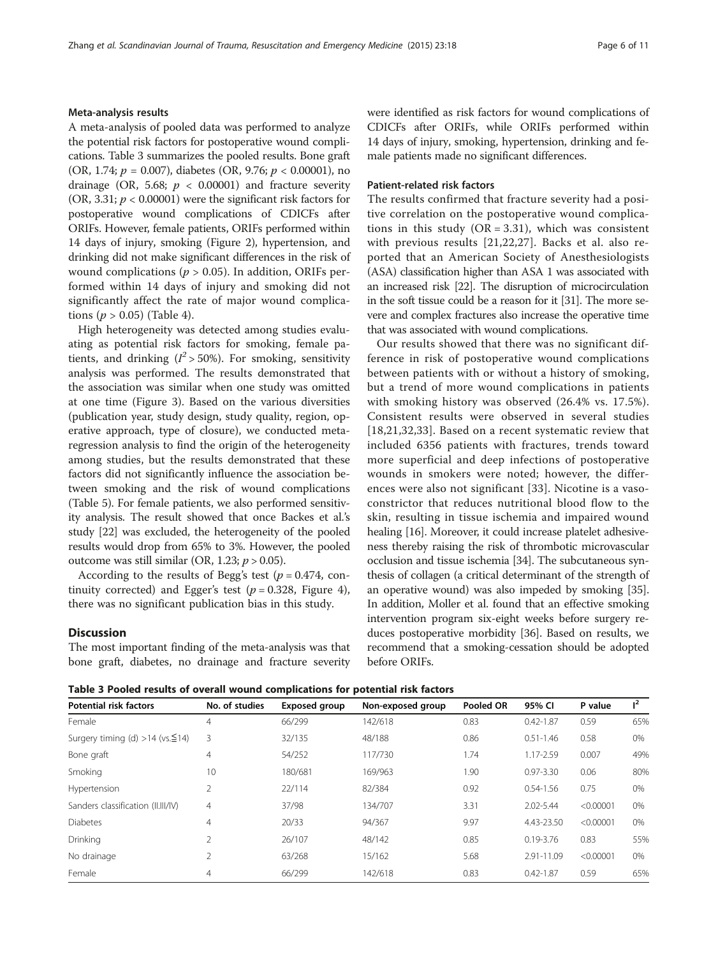#### Meta-analysis results

A meta-analysis of pooled data was performed to analyze the potential risk factors for postoperative wound complications. Table 3 summarizes the pooled results. Bone graft (OR, 1.74;  $p = 0.007$ ), diabetes (OR, 9.76;  $p < 0.00001$ ), no drainage (OR, 5.68;  $p < 0.00001$ ) and fracture severity (OR, 3.31;  $p < 0.00001$ ) were the significant risk factors for postoperative wound complications of CDICFs after ORIFs. However, female patients, ORIFs performed within 14 days of injury, smoking (Figure [2\)](#page-6-0), hypertension, and drinking did not make significant differences in the risk of wound complications ( $p > 0.05$ ). In addition, ORIFs performed within 14 days of injury and smoking did not significantly affect the rate of major wound complications ( $p > 0.05$ ) (Table [4\)](#page-6-0).

High heterogeneity was detected among studies evaluating as potential risk factors for smoking, female patients, and drinking ( $l^2$  > 50%). For smoking, sensitivity analysis was performed. The results demonstrated that the association was similar when one study was omitted at one time (Figure [3\)](#page-7-0). Based on the various diversities (publication year, study design, study quality, region, operative approach, type of closure), we conducted metaregression analysis to find the origin of the heterogeneity among studies, but the results demonstrated that these factors did not significantly influence the association between smoking and the risk of wound complications (Table [5](#page-7-0)). For female patients, we also performed sensitivity analysis. The result showed that once Backes et al.'s study [\[22\]](#page-9-0) was excluded, the heterogeneity of the pooled results would drop from 65% to 3%. However, the pooled outcome was still similar (OR, 1.23;  $p > 0.05$ ).

According to the results of Begg's test ( $p = 0.474$ , continuity corrected) and Egger's test ( $p = 0.328$ , Figure [4](#page-8-0)), there was no significant publication bias in this study.

#### **Discussion**

The most important finding of the meta-analysis was that bone graft, diabetes, no drainage and fracture severity were identified as risk factors for wound complications of CDICFs after ORIFs, while ORIFs performed within 14 days of injury, smoking, hypertension, drinking and female patients made no significant differences.

#### Patient-related risk factors

The results confirmed that fracture severity had a positive correlation on the postoperative wound complications in this study ( $OR = 3.31$ ), which was consistent with previous results [[21,22](#page-9-0),[27\]](#page-9-0). Backs et al. also reported that an American Society of Anesthesiologists (ASA) classification higher than ASA 1 was associated with an increased risk [\[22\]](#page-9-0). The disruption of microcirculation in the soft tissue could be a reason for it [\[31\]](#page-9-0). The more severe and complex fractures also increase the operative time that was associated with wound complications.

Our results showed that there was no significant difference in risk of postoperative wound complications between patients with or without a history of smoking, but a trend of more wound complications in patients with smoking history was observed (26.4% vs. 17.5%). Consistent results were observed in several studies [[18](#page-9-0),[21,32](#page-9-0),[33\]](#page-9-0). Based on a recent systematic review that included 6356 patients with fractures, trends toward more superficial and deep infections of postoperative wounds in smokers were noted; however, the differences were also not significant [[33](#page-9-0)]. Nicotine is a vasoconstrictor that reduces nutritional blood flow to the skin, resulting in tissue ischemia and impaired wound healing [\[16](#page-9-0)]. Moreover, it could increase platelet adhesiveness thereby raising the risk of thrombotic microvascular occlusion and tissue ischemia [\[34](#page-9-0)]. The subcutaneous synthesis of collagen (a critical determinant of the strength of an operative wound) was also impeded by smoking [[35](#page-9-0)]. In addition, Moller et al. found that an effective smoking intervention program six-eight weeks before surgery reduces postoperative morbidity [[36\]](#page-9-0). Based on results, we recommend that a smoking-cessation should be adopted before ORIFs.

Table 3 Pooled results of overall wound complications for potential risk factors

| <b>Potential risk factors</b>          | No. of studies | Exposed group | Non-exposed group | Pooled OR | 95% CI        | P value   | $l^2$ |
|----------------------------------------|----------------|---------------|-------------------|-----------|---------------|-----------|-------|
| Female                                 | 4              | 66/299        | 142/618           | 0.83      | $0.42 - 1.87$ | 0.59      | 65%   |
| Surgery timing (d) >14 (vs. $\leq$ 14) | 3              | 32/135        | 48/188            | 0.86      | $0.51 - 1.46$ | 0.58      | 0%    |
| Bone graft                             | 4              | 54/252        | 117/730           | 1.74      | 1.17-2.59     | 0.007     | 49%   |
| Smoking                                | 10             | 180/681       | 169/963           | 1.90      | $0.97 - 3.30$ | 0.06      | 80%   |
| Hypertension                           | 2              | 22/114        | 82/384            | 0.92      | $0.54 - 1.56$ | 0.75      | 0%    |
| Sanders classification (II.III/IV)     | 4              | 37/98         | 134/707           | 3.31      | 2.02-5.44     | < 0.00001 | 0%    |
| <b>Diabetes</b>                        | 4              | 20/33         | 94/367            | 9.97      | 4.43-23.50    | < 0.00001 | 0%    |
| Drinking                               |                | 26/107        | 48/142            | 0.85      | $0.19 - 3.76$ | 0.83      | 55%   |
| No drainage                            |                | 63/268        | 15/162            | 5.68      | 2.91-11.09    | < 0.00001 | 0%    |
| Female                                 | 4              | 66/299        | 142/618           | 0.83      | $0.42 - 1.87$ | 0.59      | 65%   |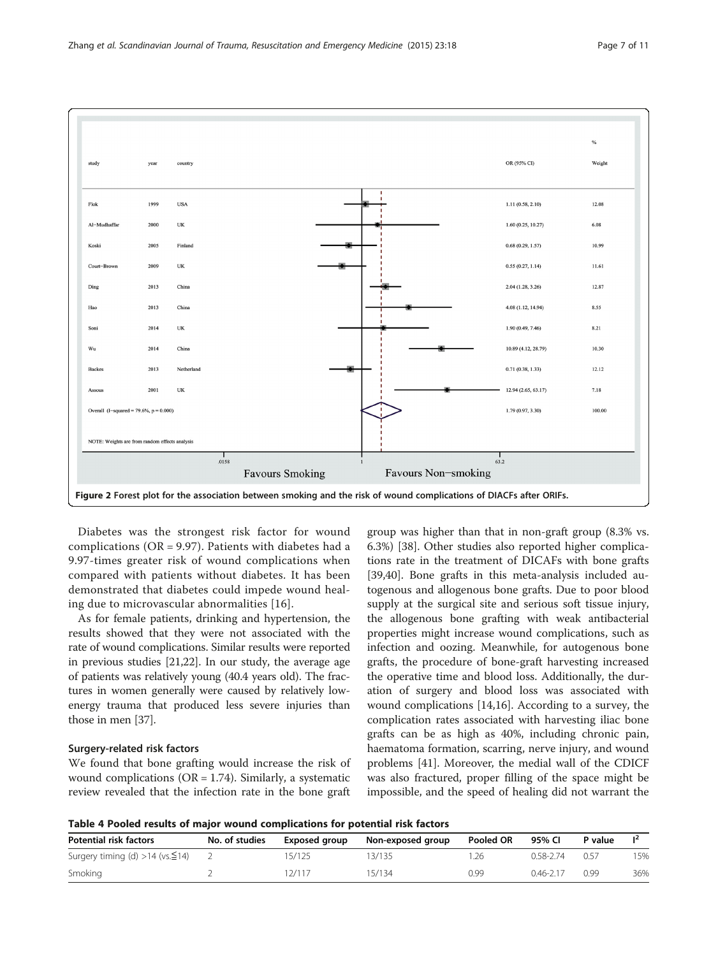<span id="page-6-0"></span>

Diabetes was the strongest risk factor for wound complications (OR = 9.97). Patients with diabetes had a 9.97-times greater risk of wound complications when compared with patients without diabetes. It has been demonstrated that diabetes could impede wound healing due to microvascular abnormalities [[16](#page-9-0)].

As for female patients, drinking and hypertension, the results showed that they were not associated with the rate of wound complications. Similar results were reported in previous studies [\[21,22\]](#page-9-0). In our study, the average age of patients was relatively young (40.4 years old). The fractures in women generally were caused by relatively lowenergy trauma that produced less severe injuries than those in men [[37](#page-9-0)].

#### Surgery-related risk factors

We found that bone grafting would increase the risk of wound complications ( $OR = 1.74$ ). Similarly, a systematic review revealed that the infection rate in the bone graft group was higher than that in non-graft group (8.3% vs. 6.3%) [\[38](#page-9-0)]. Other studies also reported higher complications rate in the treatment of DICAFs with bone grafts [[39,40\]](#page-9-0). Bone grafts in this meta-analysis included autogenous and allogenous bone grafts. Due to poor blood supply at the surgical site and serious soft tissue injury, the allogenous bone grafting with weak antibacterial properties might increase wound complications, such as infection and oozing. Meanwhile, for autogenous bone grafts, the procedure of bone-graft harvesting increased the operative time and blood loss. Additionally, the duration of surgery and blood loss was associated with wound complications [\[14,16\]](#page-9-0). According to a survey, the complication rates associated with harvesting iliac bone grafts can be as high as 40%, including chronic pain, haematoma formation, scarring, nerve injury, and wound problems [[41](#page-9-0)]. Moreover, the medial wall of the CDICF was also fractured, proper filling of the space might be impossible, and the speed of healing did not warrant the

Table 4 Pooled results of major wound complications for potential risk factors

| <b>Potential risk factors</b>           | No. of studies | Exposed group | Non-exposed group | Pooled OR | 95% CI    | P value |     |
|-----------------------------------------|----------------|---------------|-------------------|-----------|-----------|---------|-----|
| Surgery timing (d) > 14 ( $vs.\leq$ 14) |                | 15/125        | 3/135             | .26       | 0.58-2.74 | 0.57    | 15% |
| Smoking                                 |                | 12/117        | 5/134             | 0.99      | 0.46-2.17 | 0.99    | 36% |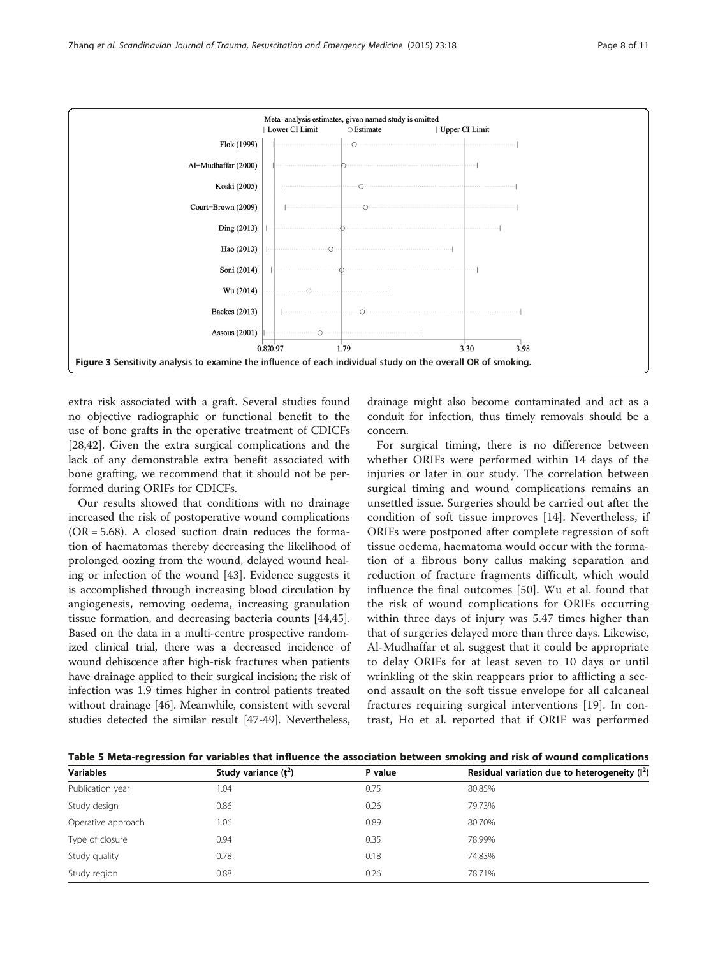<span id="page-7-0"></span>

extra risk associated with a graft. Several studies found no objective radiographic or functional benefit to the use of bone grafts in the operative treatment of CDICFs [[28,42\]](#page-9-0). Given the extra surgical complications and the lack of any demonstrable extra benefit associated with bone grafting, we recommend that it should not be performed during ORIFs for CDICFs.

Our results showed that conditions with no drainage increased the risk of postoperative wound complications  $(OR = 5.68)$ . A closed suction drain reduces the formation of haematomas thereby decreasing the likelihood of prolonged oozing from the wound, delayed wound healing or infection of the wound [[43](#page-9-0)]. Evidence suggests it is accomplished through increasing blood circulation by angiogenesis, removing oedema, increasing granulation tissue formation, and decreasing bacteria counts [\[44](#page-9-0)[,45](#page-10-0)]. Based on the data in a multi-centre prospective randomized clinical trial, there was a decreased incidence of wound dehiscence after high-risk fractures when patients have drainage applied to their surgical incision; the risk of infection was 1.9 times higher in control patients treated without drainage [\[46\]](#page-10-0). Meanwhile, consistent with several studies detected the similar result [\[47-49\]](#page-10-0). Nevertheless,

drainage might also become contaminated and act as a conduit for infection, thus timely removals should be a concern.

For surgical timing, there is no difference between whether ORIFs were performed within 14 days of the injuries or later in our study. The correlation between surgical timing and wound complications remains an unsettled issue. Surgeries should be carried out after the condition of soft tissue improves [[14\]](#page-9-0). Nevertheless, if ORIFs were postponed after complete regression of soft tissue oedema, haematoma would occur with the formation of a fibrous bony callus making separation and reduction of fracture fragments difficult, which would influence the final outcomes [[50](#page-10-0)]. Wu et al. found that the risk of wound complications for ORIFs occurring within three days of injury was 5.47 times higher than that of surgeries delayed more than three days. Likewise, Al-Mudhaffar et al. suggest that it could be appropriate to delay ORIFs for at least seven to 10 days or until wrinkling of the skin reappears prior to afflicting a second assault on the soft tissue envelope for all calcaneal fractures requiring surgical interventions [[19\]](#page-9-0). In contrast, Ho et al. reported that if ORIF was performed

Table 5 Meta-regression for variables that influence the association between smoking and risk of wound complications

| <b>Variables</b>   | Study variance $(t^2)$ | P value | Residual variation due to heterogeneity $(I^2)$ |  |  |
|--------------------|------------------------|---------|-------------------------------------------------|--|--|
| Publication year   | 1.04                   | 0.75    | 80.85%                                          |  |  |
| Study design       | 0.86                   | 0.26    | 79.73%                                          |  |  |
| Operative approach | 1.06                   | 0.89    | 80.70%                                          |  |  |
| Type of closure    | 0.94                   | 0.35    | 78.99%                                          |  |  |
| Study quality      | 0.78                   | 0.18    | 74.83%                                          |  |  |
| Study region       | 0.88                   | 0.26    | 78.71%                                          |  |  |
|                    |                        |         |                                                 |  |  |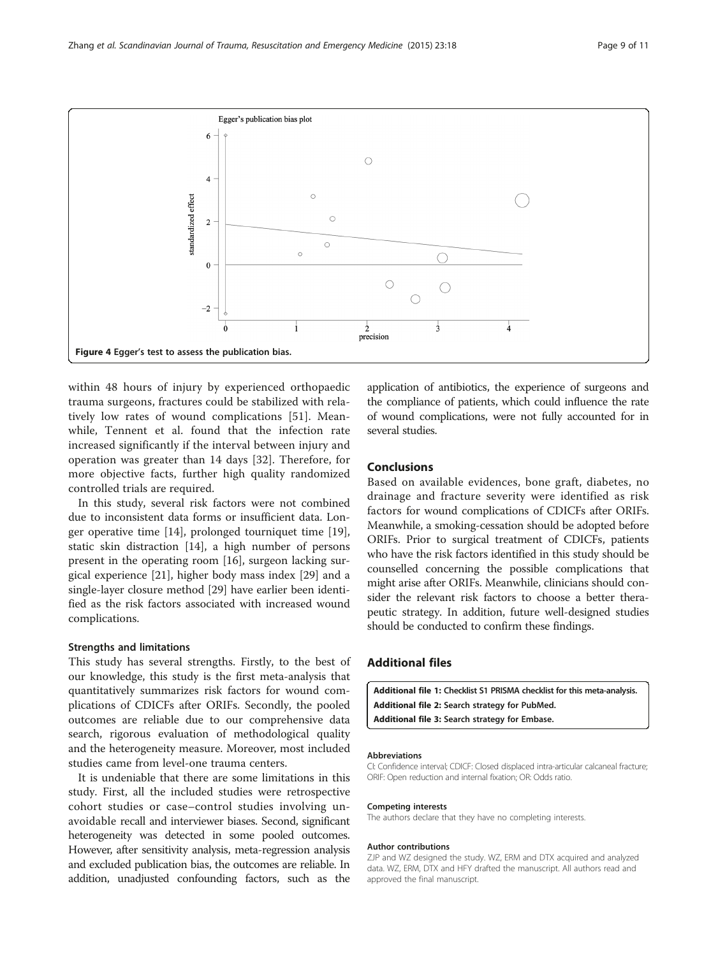<span id="page-8-0"></span>

within 48 hours of injury by experienced orthopaedic trauma surgeons, fractures could be stabilized with relatively low rates of wound complications [[51\]](#page-10-0). Meanwhile, Tennent et al. found that the infection rate increased significantly if the interval between injury and operation was greater than 14 days [[32\]](#page-9-0). Therefore, for more objective facts, further high quality randomized controlled trials are required.

In this study, several risk factors were not combined due to inconsistent data forms or insufficient data. Longer operative time [\[14](#page-9-0)], prolonged tourniquet time [\[19](#page-9-0)], static skin distraction [[14](#page-9-0)], a high number of persons present in the operating room [[16\]](#page-9-0), surgeon lacking surgical experience [[21](#page-9-0)], higher body mass index [[29](#page-9-0)] and a single-layer closure method [[29](#page-9-0)] have earlier been identified as the risk factors associated with increased wound complications.

#### Strengths and limitations

This study has several strengths. Firstly, to the best of our knowledge, this study is the first meta-analysis that quantitatively summarizes risk factors for wound complications of CDICFs after ORIFs. Secondly, the pooled outcomes are reliable due to our comprehensive data search, rigorous evaluation of methodological quality and the heterogeneity measure. Moreover, most included studies came from level-one trauma centers.

It is undeniable that there are some limitations in this study. First, all the included studies were retrospective cohort studies or case–control studies involving unavoidable recall and interviewer biases. Second, significant heterogeneity was detected in some pooled outcomes. However, after sensitivity analysis, meta-regression analysis and excluded publication bias, the outcomes are reliable. In addition, unadjusted confounding factors, such as the

application of antibiotics, the experience of surgeons and the compliance of patients, which could influence the rate of wound complications, were not fully accounted for in several studies.

# Conclusions

Based on available evidences, bone graft, diabetes, no drainage and fracture severity were identified as risk factors for wound complications of CDICFs after ORIFs. Meanwhile, a smoking-cessation should be adopted before ORIFs. Prior to surgical treatment of CDICFs, patients who have the risk factors identified in this study should be counselled concerning the possible complications that might arise after ORIFs. Meanwhile, clinicians should consider the relevant risk factors to choose a better therapeutic strategy. In addition, future well-designed studies should be conducted to confirm these findings.

# Additional files

[Additional file 1:](http://www.sjtrem.com/content/supplementary/s13049-015-0092-4-s1.doc) Checklist S1 PRISMA checklist for this meta-analysis. [Additional file 2:](http://www.sjtrem.com/content/supplementary/s13049-015-0092-4-s2.zip) Search strategy for PubMed. [Additional file 3:](http://www.sjtrem.com/content/supplementary/s13049-015-0092-4-s3.zip) Search strategy for Embase.

#### Abbreviations

CI: Confidence interval; CDICF: Closed displaced intra-articular calcaneal fracture; ORIF: Open reduction and internal fixation; OR: Odds ratio.

#### Competing interests

The authors declare that they have no completing interests.

#### Author contributions

ZJP and WZ designed the study. WZ, ERM and DTX acquired and analyzed data. WZ, ERM, DTX and HFY drafted the manuscript. All authors read and approved the final manuscript.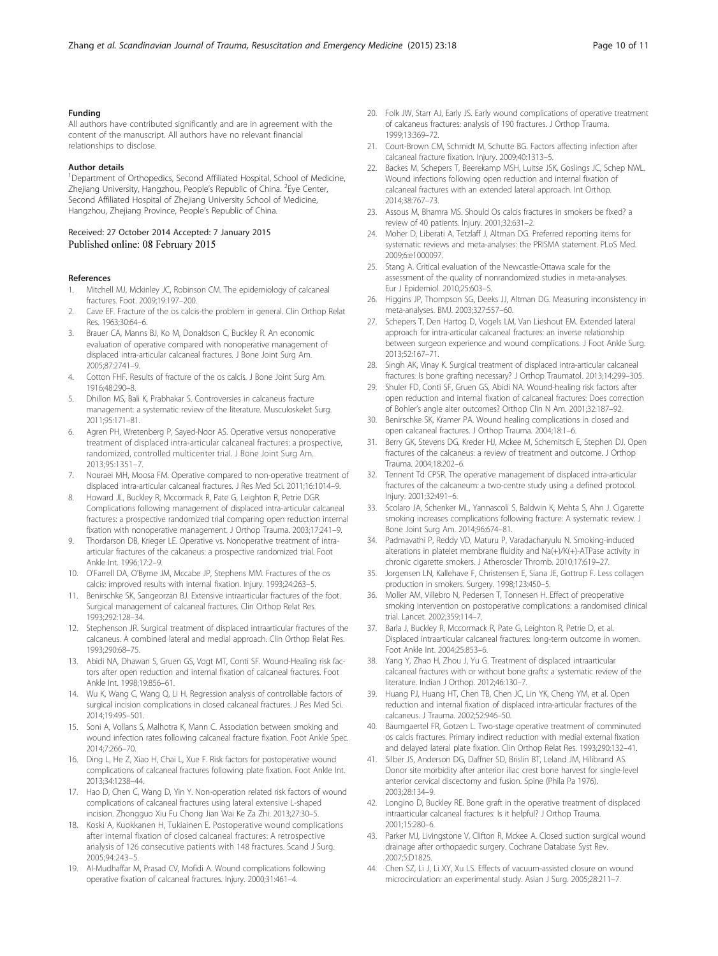#### <span id="page-9-0"></span>Funding

All authors have contributed significantly and are in agreement with the content of the manuscript. All authors have no relevant financial relationships to disclose.

#### Author details

<sup>1</sup>Department of Orthopedics, Second Affiliated Hospital, School of Medicine, Zhejiang University, Hangzhou, People's Republic of China. <sup>2</sup>Eye Center, Second Affiliated Hospital of Zhejiang University School of Medicine, Hangzhou, Zhejiang Province, People's Republic of China.

#### Received: 27 October 2014 Accepted: 7 January 2015 Published online: 08 February 2015

#### References

- Mitchell MJ, Mckinley JC, Robinson CM. The epidemiology of calcaneal fractures. Foot. 2009;19:197–200.
- 2. Cave EF. Fracture of the os calcis-the problem in general. Clin Orthop Relat Res. 1963;30:64–6.
- 3. Brauer CA, Manns BJ, Ko M, Donaldson C, Buckley R. An economic evaluation of operative compared with nonoperative management of displaced intra-articular calcaneal fractures. J Bone Joint Surg Am. 2005;87:2741–9.
- 4. Cotton FHF. Results of fracture of the os calcis. J Bone Joint Surg Am. 1916;48:290–8.
- 5. Dhillon MS, Bali K, Prabhakar S. Controversies in calcaneus fracture management: a systematic review of the literature. Musculoskelet Surg. 2011;95:171–81.
- 6. Agren PH, Wretenberg P, Sayed-Noor AS. Operative versus nonoperative treatment of displaced intra-articular calcaneal fractures: a prospective, randomized, controlled multicenter trial. J Bone Joint Surg Am. 2013;95:1351–7.
- 7. Nouraei MH, Moosa FM. Operative compared to non-operative treatment of displaced intra-articular calcaneal fractures. J Res Med Sci. 2011;16:1014–9.
- 8. Howard JL, Buckley R, Mccormack R, Pate G, Leighton R, Petrie DGR. Complications following management of displaced intra-articular calcaneal fractures: a prospective randomized trial comparing open reduction internal fixation with nonoperative management. J Orthop Trauma. 2003;17:241–9.
- 9. Thordarson DB, Krieger LE. Operative vs. Nonoperative treatment of intraarticular fractures of the calcaneus: a prospective randomized trial. Foot Ankle Int. 1996;17:2–9.
- 10. O'Farrell DA, O'Byrne JM, Mccabe JP, Stephens MM. Fractures of the os calcis: improved results with internal fixation. Injury. 1993;24:263–5.
- 11. Benirschke SK, Sangeorzan BJ. Extensive intraarticular fractures of the foot. Surgical management of calcaneal fractures. Clin Orthop Relat Res. 1993;292:128–34.
- 12. Stephenson JR. Surgical treatment of displaced intraarticular fractures of the calcaneus. A combined lateral and medial approach. Clin Orthop Relat Res. 1993;290:68–75.
- 13. Abidi NA, Dhawan S, Gruen GS, Vogt MT, Conti SF. Wound-Healing risk factors after open reduction and internal fixation of calcaneal fractures. Foot Ankle Int. 1998;19:856–61.
- 14. Wu K, Wang C, Wang Q, Li H. Regression analysis of controllable factors of surgical incision complications in closed calcaneal fractures. J Res Med Sci. 2014;19:495–501.
- 15. Soni A, Vollans S, Malhotra K, Mann C. Association between smoking and wound infection rates following calcaneal fracture fixation. Foot Ankle Spec. 2014;7:266–70.
- 16. Ding L, He Z, Xiao H, Chai L, Xue F. Risk factors for postoperative wound complications of calcaneal fractures following plate fixation. Foot Ankle Int. 2013;34:1238–44.
- 17. Hao D, Chen C, Wang D, Yin Y. Non-operation related risk factors of wound complications of calcaneal fractures using lateral extensive L-shaped incision. Zhongguo Xiu Fu Chong Jian Wai Ke Za Zhi. 2013;27:30–5.
- 18. Koski A, Kuokkanen H, Tukiainen E. Postoperative wound complications after internal fixation of closed calcaneal fractures: A retrospective analysis of 126 consecutive patients with 148 fractures. Scand J Surg. 2005;94:243–5.
- 19. Al-Mudhaffar M, Prasad CV, Mofidi A. Wound complications following operative fixation of calcaneal fractures. Injury. 2000;31:461–4.
- 20. Folk JW, Starr AJ, Early JS. Early wound complications of operative treatment of calcaneus fractures: analysis of 190 fractures. J Orthop Trauma. 1999;13:369–72.
- 21. Court-Brown CM, Schmidt M, Schutte BG, Factors affecting infection after calcaneal fracture fixation. Injury. 2009;40:1313–5.
- 22. Backes M, Schepers T, Beerekamp MSH, Luitse JSK, Goslings JC, Schep NWL. Wound infections following open reduction and internal fixation of calcaneal fractures with an extended lateral approach. Int Orthop. 2014;38:767–73.
- 23. Assous M, Bhamra MS. Should Os calcis fractures in smokers be fixed? a review of 40 patients. Injury. 2001;32:631–2.
- 24. Moher D, Liberati A, Tetzlaff J, Altman DG. Preferred reporting items for systematic reviews and meta-analyses: the PRISMA statement. PLoS Med. 2009;6:e1000097.
- 25. Stang A. Critical evaluation of the Newcastle-Ottawa scale for the assessment of the quality of nonrandomized studies in meta-analyses. Eur J Epidemiol. 2010;25:603–5.
- 26. Higgins JP, Thompson SG, Deeks JJ, Altman DG. Measuring inconsistency in meta-analyses. BMJ. 2003;327:557–60.
- 27. Schepers T, Den Hartog D, Vogels LM, Van Lieshout EM. Extended lateral approach for intra-articular calcaneal fractures: an inverse relationship between surgeon experience and wound complications. J Foot Ankle Surg. 2013;52:167–71.
- 28. Singh AK, Vinay K. Surgical treatment of displaced intra-articular calcaneal fractures: Is bone grafting necessary? J Orthop Traumatol. 2013;14:299–305.
- 29. Shuler FD, Conti SF, Gruen GS, Abidi NA. Wound-healing risk factors after open reduction and internal fixation of calcaneal fractures: Does correction of Bohler's angle alter outcomes? Orthop Clin N Am. 2001;32:187–92.
- 30. Benirschke SK, Kramer PA. Wound healing complications in closed and open calcaneal fractures. J Orthop Trauma. 2004;18:1–6.
- 31. Berry GK, Stevens DG, Kreder HJ, Mckee M, Schemitsch E, Stephen DJ. Open fractures of the calcaneus: a review of treatment and outcome. J Orthop Trauma. 2004;18:202–6.
- 32. Tennent Td CPSR. The operative management of displaced intra-articular fractures of the calcaneum: a two-centre study using a defined protocol. Injury. 2001;32:491–6.
- 33. Scolaro JA, Schenker ML, Yannascoli S, Baldwin K, Mehta S, Ahn J. Cigarette smoking increases complications following fracture: A systematic review. J Bone Joint Surg Am. 2014;96:674–81.
- 34. Padmavathi P, Reddy VD, Maturu P, Varadacharyulu N. Smoking-induced alterations in platelet membrane fluidity and Na(+)/K(+)-ATPase activity in chronic cigarette smokers. J Atheroscler Thromb. 2010;17:619–27.
- 35. Jorgensen LN, Kallehave F, Christensen E, Siana JE, Gottrup F. Less collagen production in smokers. Surgery. 1998;123:450–5.
- 36. Moller AM, Villebro N, Pedersen T, Tonnesen H. Effect of preoperative smoking intervention on postoperative complications: a randomised clinical trial. Lancet. 2002;359:114–7.
- 37. Barla J, Buckley R, Mccormack R, Pate G, Leighton R, Petrie D, et al. Displaced intraarticular calcaneal fractures: long-term outcome in women. Foot Ankle Int. 2004;25:853–6.
- 38. Yang Y, Zhao H, Zhou J, Yu G. Treatment of displaced intraarticular calcaneal fractures with or without bone grafts: a systematic review of the literature. Indian J Orthop. 2012;46:130–7.
- 39. Huang PJ, Huang HT, Chen TB, Chen JC, Lin YK, Cheng YM, et al. Open reduction and internal fixation of displaced intra-articular fractures of the calcaneus. J Trauma. 2002;52:946–50.
- 40. Baumgaertel FR, Gotzen L. Two-stage operative treatment of comminuted os calcis fractures. Primary indirect reduction with medial external fixation and delayed lateral plate fixation. Clin Orthop Relat Res. 1993;290:132–41.
- 41. Silber JS, Anderson DG, Daffner SD, Brislin BT, Leland JM, Hilibrand AS. Donor site morbidity after anterior iliac crest bone harvest for single-level anterior cervical discectomy and fusion. Spine (Phila Pa 1976). 2003;28:134–9.
- 42. Longino D, Buckley RE. Bone graft in the operative treatment of displaced intraarticular calcaneal fractures: Is it helpful? J Orthop Trauma. 2001;15:280–6.
- 43. Parker MJ, Livingstone V, Clifton R, Mckee A. Closed suction surgical wound drainage after orthopaedic surgery. Cochrane Database Syst Rev. 2007;5:D1825.
- 44. Chen SZ, Li J, Li XY, Xu LS. Effects of vacuum-assisted closure on wound microcirculation: an experimental study. Asian J Surg. 2005;28:211–7.